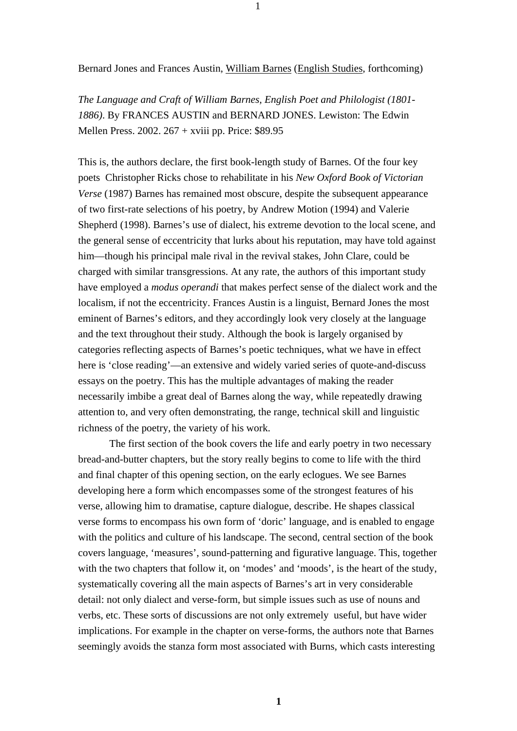Bernard Jones and Frances Austin, William Barnes (English Studies, forthcoming)

1

*The Language and Craft of William Barnes, English Poet and Philologist (1801- 1886)*. By FRANCES AUSTIN and BERNARD JONES. Lewiston: The Edwin Mellen Press. 2002. 267 + xviii pp. Price: \$89.95

This is, the authors declare, the first book-length study of Barnes. Of the four key poets Christopher Ricks chose to rehabilitate in his *New Oxford Book of Victorian Verse* (1987) Barnes has remained most obscure, despite the subsequent appearance of two first-rate selections of his poetry, by Andrew Motion (1994) and Valerie Shepherd (1998). Barnes's use of dialect, his extreme devotion to the local scene, and the general sense of eccentricity that lurks about his reputation, may have told against him—though his principal male rival in the revival stakes, John Clare, could be charged with similar transgressions. At any rate, the authors of this important study have employed a *modus operandi* that makes perfect sense of the dialect work and the localism, if not the eccentricity. Frances Austin is a linguist, Bernard Jones the most eminent of Barnes's editors, and they accordingly look very closely at the language and the text throughout their study. Although the book is largely organised by categories reflecting aspects of Barnes's poetic techniques, what we have in effect here is 'close reading'—an extensive and widely varied series of quote-and-discuss essays on the poetry. This has the multiple advantages of making the reader necessarily imbibe a great deal of Barnes along the way, while repeatedly drawing attention to, and very often demonstrating, the range, technical skill and linguistic richness of the poetry, the variety of his work.

 The first section of the book covers the life and early poetry in two necessary bread-and-butter chapters, but the story really begins to come to life with the third and final chapter of this opening section, on the early eclogues. We see Barnes developing here a form which encompasses some of the strongest features of his verse, allowing him to dramatise, capture dialogue, describe. He shapes classical verse forms to encompass his own form of 'doric' language, and is enabled to engage with the politics and culture of his landscape. The second, central section of the book covers language, 'measures', sound-patterning and figurative language. This, together with the two chapters that follow it, on 'modes' and 'moods', is the heart of the study, systematically covering all the main aspects of Barnes's art in very considerable detail: not only dialect and verse-form, but simple issues such as use of nouns and verbs, etc. These sorts of discussions are not only extremely useful, but have wider implications. For example in the chapter on verse-forms, the authors note that Barnes seemingly avoids the stanza form most associated with Burns, which casts interesting

**1**